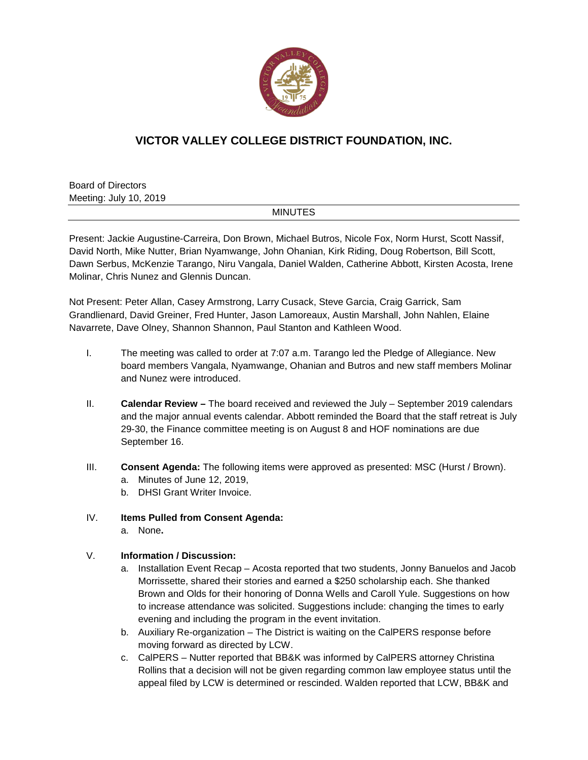

## **VICTOR VALLEY COLLEGE DISTRICT FOUNDATION, INC.**

Board of Directors Meeting: July 10, 2019

## MINUTES

Present: Jackie Augustine-Carreira, Don Brown, Michael Butros, Nicole Fox, Norm Hurst, Scott Nassif, David North, Mike Nutter, Brian Nyamwange, John Ohanian, Kirk Riding, Doug Robertson, Bill Scott, Dawn Serbus, McKenzie Tarango, Niru Vangala, Daniel Walden, Catherine Abbott, Kirsten Acosta, Irene Molinar, Chris Nunez and Glennis Duncan.

Not Present: Peter Allan, Casey Armstrong, Larry Cusack, Steve Garcia, Craig Garrick, Sam Grandlienard, David Greiner, Fred Hunter, Jason Lamoreaux, Austin Marshall, John Nahlen, Elaine Navarrete, Dave Olney, Shannon Shannon, Paul Stanton and Kathleen Wood.

- I. The meeting was called to order at 7:07 a.m. Tarango led the Pledge of Allegiance. New board members Vangala, Nyamwange, Ohanian and Butros and new staff members Molinar and Nunez were introduced.
- II. **Calendar Review –** The board received and reviewed the July September 2019 calendars and the major annual events calendar. Abbott reminded the Board that the staff retreat is July 29-30, the Finance committee meeting is on August 8 and HOF nominations are due September 16.
- III. **Consent Agenda:** The following items were approved as presented: MSC (Hurst / Brown).
	- a. Minutes of June 12, 2019,
	- b. DHSI Grant Writer Invoice.
- IV. **Items Pulled from Consent Agenda:**
	- a. None**.**
- V. **Information / Discussion:**
	- a. Installation Event Recap Acosta reported that two students, Jonny Banuelos and Jacob Morrissette, shared their stories and earned a \$250 scholarship each. She thanked Brown and Olds for their honoring of Donna Wells and Caroll Yule. Suggestions on how to increase attendance was solicited. Suggestions include: changing the times to early evening and including the program in the event invitation.
	- b. Auxiliary Re-organization The District is waiting on the CalPERS response before moving forward as directed by LCW.
	- c. CalPERS Nutter reported that BB&K was informed by CalPERS attorney Christina Rollins that a decision will not be given regarding common law employee status until the appeal filed by LCW is determined or rescinded. Walden reported that LCW, BB&K and